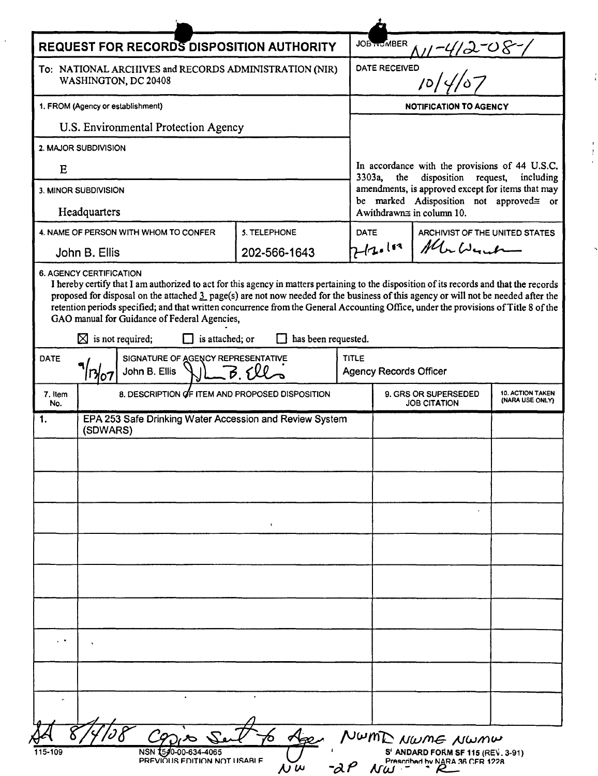| <b>REQUEST FOR RECORDS DISPOSITION AUTHORITY</b>                                |                                                                                                                                                                                                                                                                                                                                                                                                                                                                                                                            |                     |             | <b>JOB HOMBER</b>                                                                                                         |                                                             |                                |  |
|---------------------------------------------------------------------------------|----------------------------------------------------------------------------------------------------------------------------------------------------------------------------------------------------------------------------------------------------------------------------------------------------------------------------------------------------------------------------------------------------------------------------------------------------------------------------------------------------------------------------|---------------------|-------------|---------------------------------------------------------------------------------------------------------------------------|-------------------------------------------------------------|--------------------------------|--|
| To: NATIONAL ARCHIVES and RECORDS ADMINISTRATION (NIR)<br>WASHINGTON, DC 20408  |                                                                                                                                                                                                                                                                                                                                                                                                                                                                                                                            |                     |             | <u>NI-412-08-1</u><br>=0<br> 0 4/07<br>DATE RECEIVED                                                                      |                                                             |                                |  |
| 1. FROM (Agency or establishment)                                               |                                                                                                                                                                                                                                                                                                                                                                                                                                                                                                                            |                     |             | <b>NOTIFICATION TO AGENCY</b>                                                                                             |                                                             |                                |  |
| U.S. Environmental Protection Agency                                            |                                                                                                                                                                                                                                                                                                                                                                                                                                                                                                                            |                     |             |                                                                                                                           |                                                             |                                |  |
| 2. MAJOR SUBDIVISION                                                            |                                                                                                                                                                                                                                                                                                                                                                                                                                                                                                                            |                     |             |                                                                                                                           |                                                             |                                |  |
| E                                                                               |                                                                                                                                                                                                                                                                                                                                                                                                                                                                                                                            |                     |             | In accordance with the provisions of 44 U.S.C.<br>disposition<br>3303a,<br>the<br>request,<br>including                   |                                                             |                                |  |
| 3. MINOR SUBDIVISION                                                            |                                                                                                                                                                                                                                                                                                                                                                                                                                                                                                                            |                     |             | amendments, is approved except for items that may<br>be marked Adisposition not approved≅ or<br>Awithdrawn≅ in column 10. |                                                             |                                |  |
| Headquarters                                                                    |                                                                                                                                                                                                                                                                                                                                                                                                                                                                                                                            |                     |             |                                                                                                                           |                                                             |                                |  |
|                                                                                 | 4. NAME OF PERSON WITH WHOM TO CONFER                                                                                                                                                                                                                                                                                                                                                                                                                                                                                      | <b>5. TELEPHONE</b> | <b>DATE</b> |                                                                                                                           |                                                             | ARCHIVIST OF THE UNITED STATES |  |
|                                                                                 | John B. Ellis                                                                                                                                                                                                                                                                                                                                                                                                                                                                                                              | 202-566-1643        |             | Macdent<br>713.113                                                                                                        |                                                             |                                |  |
|                                                                                 | I hereby certify that I am authorized to act for this agency in matters pertaining to the disposition of its records and that the records<br>proposed for disposal on the attached 3 page(s) are not now needed for the business of this agency or will not be needed after the<br>retention periods specified; and that written concurrence from the General Accounting Office, under the provisions of Title 8 of the<br>GAO manual for Guidance of Federal Agencies,<br>$\boxtimes$ is not required;<br>is attached; or | has been requested. |             |                                                                                                                           |                                                             |                                |  |
| SIGNATURE OF AGENCY REPRESENTATIVE<br><b>DATE</b><br>John B. Ellis<br>$ B.6$ ll |                                                                                                                                                                                                                                                                                                                                                                                                                                                                                                                            |                     |             | <b>TITLE</b><br><b>Agency Records Officer</b>                                                                             |                                                             |                                |  |
| 7. Item<br>No.                                                                  | 8. DESCRIPTION OF ITEM AND PROPOSED DISPOSITION                                                                                                                                                                                                                                                                                                                                                                                                                                                                            |                     |             | <b>10. ACTION TAKEN</b><br>9. GRS OR SUPERSEDED<br>(NARA USE ONLY)<br><b>JOB CITATION</b>                                 |                                                             |                                |  |
| 1.                                                                              | EPA 253 Safe Drinking Water Accession and Review System<br>(SDWARS)                                                                                                                                                                                                                                                                                                                                                                                                                                                        |                     |             |                                                                                                                           |                                                             |                                |  |
|                                                                                 |                                                                                                                                                                                                                                                                                                                                                                                                                                                                                                                            |                     |             |                                                                                                                           |                                                             |                                |  |
|                                                                                 |                                                                                                                                                                                                                                                                                                                                                                                                                                                                                                                            |                     |             |                                                                                                                           |                                                             |                                |  |
|                                                                                 |                                                                                                                                                                                                                                                                                                                                                                                                                                                                                                                            |                     |             |                                                                                                                           |                                                             |                                |  |
|                                                                                 |                                                                                                                                                                                                                                                                                                                                                                                                                                                                                                                            |                     |             |                                                                                                                           |                                                             |                                |  |
|                                                                                 |                                                                                                                                                                                                                                                                                                                                                                                                                                                                                                                            | $\mathbf{A}$ .      |             |                                                                                                                           |                                                             |                                |  |
|                                                                                 |                                                                                                                                                                                                                                                                                                                                                                                                                                                                                                                            |                     |             |                                                                                                                           |                                                             |                                |  |
|                                                                                 |                                                                                                                                                                                                                                                                                                                                                                                                                                                                                                                            |                     |             |                                                                                                                           |                                                             |                                |  |
|                                                                                 |                                                                                                                                                                                                                                                                                                                                                                                                                                                                                                                            |                     |             |                                                                                                                           |                                                             |                                |  |
|                                                                                 |                                                                                                                                                                                                                                                                                                                                                                                                                                                                                                                            |                     |             |                                                                                                                           |                                                             |                                |  |
| . .                                                                             | $\ddot{\phantom{0}}$                                                                                                                                                                                                                                                                                                                                                                                                                                                                                                       |                     |             |                                                                                                                           |                                                             |                                |  |
|                                                                                 |                                                                                                                                                                                                                                                                                                                                                                                                                                                                                                                            |                     |             |                                                                                                                           |                                                             |                                |  |
|                                                                                 |                                                                                                                                                                                                                                                                                                                                                                                                                                                                                                                            |                     |             |                                                                                                                           |                                                             |                                |  |
|                                                                                 | $\bullet$                                                                                                                                                                                                                                                                                                                                                                                                                                                                                                                  |                     |             |                                                                                                                           |                                                             |                                |  |
|                                                                                 | 290,10                                                                                                                                                                                                                                                                                                                                                                                                                                                                                                                     |                     |             |                                                                                                                           |                                                             |                                |  |
| 115-109                                                                         | NSN 1540-00-634-4065                                                                                                                                                                                                                                                                                                                                                                                                                                                                                                       |                     |             |                                                                                                                           | NUMID NWME NWMW<br><b>S' ANDARD FORM SF 115 (REV. 3-91)</b> |                                |  |
|                                                                                 | PREVIÕUS EDITION NOT USABLE                                                                                                                                                                                                                                                                                                                                                                                                                                                                                                | $\overline{M}$ $W$  | -dP         | $\overline{M\omega}$ -                                                                                                    | Prescribed by NARA 36 CFR 1228                              |                                |  |

 $\frac{1}{\sqrt{2}}$ 

 $\ensuremath{\text{NWML}}$ 

 $\frac{1}{4}$ 

 $\begin{array}{c} 1 \\ 1 \\ 1 \\ 1 \end{array}$ 

 $\ddot{\phantom{0}}$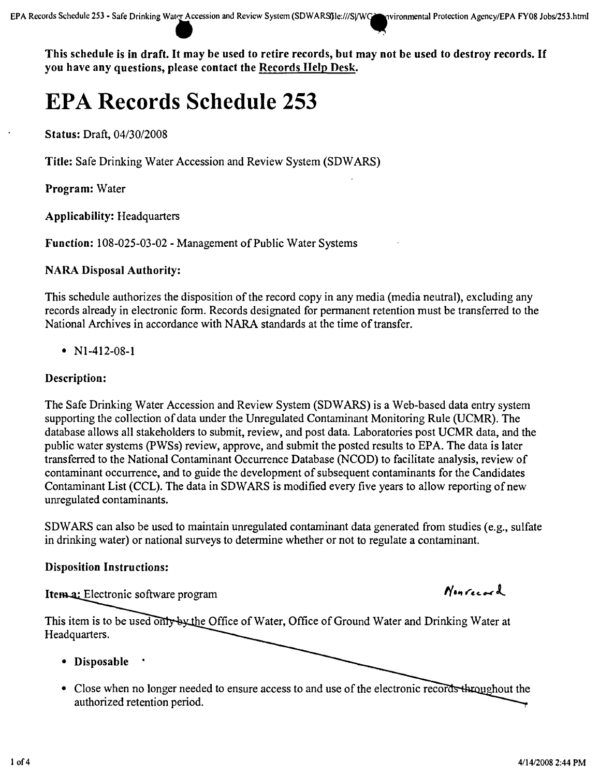This schedule is in draft. It may be used to retire records, but may not be used to destroy records. If you have any questions, please contact the Records Help Desk.

# **EPA Records Schedule 253**

Status: Draft, *04130/2008*

Title: Safe Drinking Water Accession and Review System (SDWARS)

Program: Water

Applicability: Headquarters

Function: 108-025-03-02 - Management of Public Water Systems

# NARA Disposal Authority:

This schedule authorizes the disposition of the record copy in any media (media neutral), excluding any records already in electronic form. Records designated for permanent retention must be transferred to the National Archives in accordance with NARA standards at the time of transfer.

• N<sub>1</sub>-412-08-1

# Description:

The Safe Drinking Water Accession and Review System (SDW ARS) is a Web-based data entry system supporting the collection of data under the Unregulated Contaminant Monitoring Rule (UCMR). The database allows all stakeholders to submit, review, and post data. Laboratories post UCMR data, and the public water systems (PWSs) review, approve, and submit the posted results to EPA. The data is later transferred to the National Contaminant Occurrence Database (NCOD) to facilitate analysis, review of contaminant occurrence, and to guide the development of subsequent contaminants for the Candidates Contaminant List (CCL). The data in SDWARS is modified every five years to allow reporting of new unregulated contaminants.

SDW ARS can also be used to maintain unregulated contaminant data generated from studies (e.g., sulfate in drinking water) or national surveys to determine whether or not to regulate a contaminant.

## Disposition Instructions:

Itema: Electronic software program

This item is to be used only by the Office of Water, Office of Ground Water and Drinking Water at Headquarters.

- Disposable
- Close when no longer needed to ensure access to and use of the electronic records throughout the authorized retention period.

 $N$ on Cocard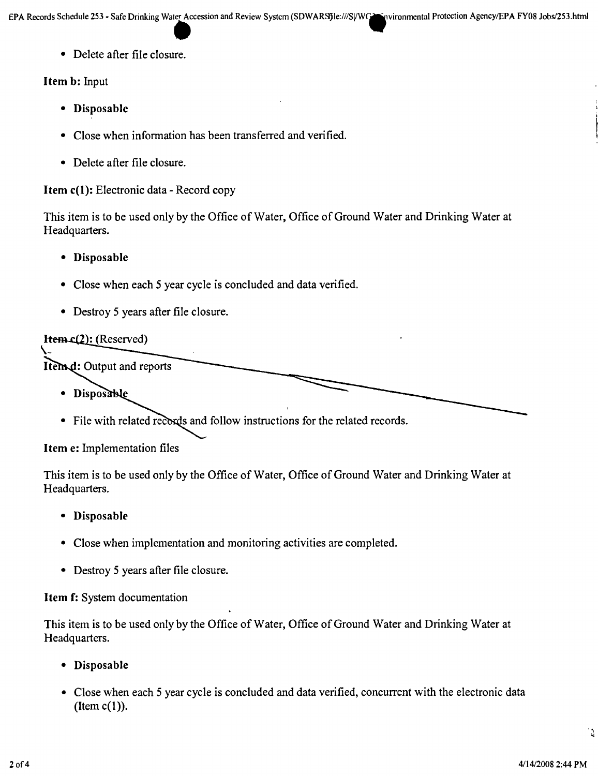• Delete after file closure.

## Item b: Input

- Disposable
- Close when information has been transferred and verified.
- Delete after file closure.

# Item c(l): Electronic data - Record copy

This item is to be used only by the Office of Water, Office of Ground Water and Drinking Water at Headquarters.

- Disposable
- Close when each 5 year cycle is concluded and data verified.
- Destroy 5 years after file closure.

# **Hem.c(2):** (Reserved)

Item d: Output and reports

- · Disposable
- File with related records and follow instructions for the related records.

## Item e: Implementation files

This item is to be used only by the Office of Water, Office of Ground Water and Drinking Water at Headquarters.

- Disposable
- Close when implementation and monitoring activities are completed.
- Destroy 5 years after file closure.

## Item f: System documentation

This item is to be used only by the Office of Water, Office of Ground Water and Drinking Water at Headquarters.

- Disposable
- Close when each 5 year cycle is concluded and data verified, concurrent with the electronic data (Item  $c(1)$ ).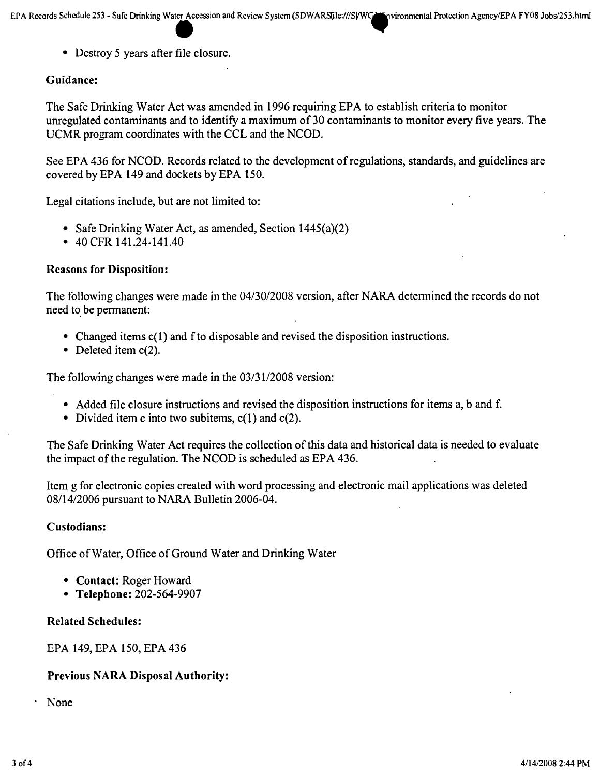• Destroy 5 years after file closure.

# Guidance:

The Safe Drinking Water Act was amended in 1996 requiring EPA to establish criteria to monitor unregulated contaminants and to identify a maximum of 30 contaminants to monitor every five years. The UCMR program coordinates with the CCL and the NCOD.

See EPA 436 for NCOD. Records related to the development of regulations, standards, and guidelines are covered by EPA 149 and dockets by EPA 150.

Legal citations include, but are not limited to:

- Safe Drinking Water Act, as amended, Section 1445(a)(2)
- 40 CFR 141.24-141.40

#### Reasons for Disposition:

The following changes were made in the *04/30/2008* version, after NARA determined the records do not need to be permanent:

- Changed items c(1) and f to disposable and revised the disposition instructions.
- Deleted item c(2).

The following changes were made in the  $03/31/2008$  version:

- Added file closure instructions and revised the disposition instructions for items a, b and f.
- Divided item c into two subitems,  $c(1)$  and  $c(2)$ .

The Safe Drinking Water Act requires the collection of this data and historical data is needed to evaluate the impact of the regulation. The NCOD is scheduled as EPA 436.

Item g for electronic copies created with word processing and electronic mail applications was deleted *08/14/2006* pursuant to NARA Bulletin 2006-04.

#### Custodians:

Office of Water, Office of Ground Water and Drinking Water

- Contact: Roger Howard
- Telephone: 202-564-9907

#### Related Schedules:

EPA 149, EPA 150, EPA 436

## Previous NARA Disposal Authority:

None